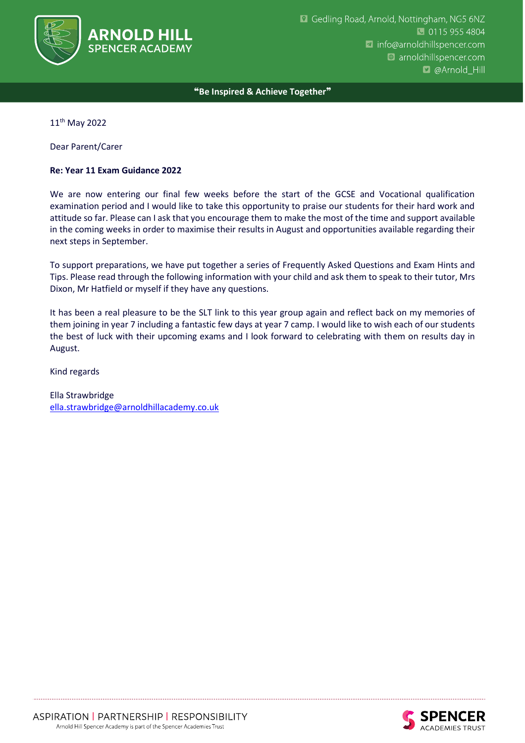

## ❝**Be Inspired & Achieve Together**❞

11th May 2022

Dear Parent/Carer

## **Re: Year 11 Exam Guidance 2022**

We are now entering our final few weeks before the start of the GCSE and Vocational qualification examination period and I would like to take this opportunity to praise our students for their hard work and attitude so far. Please can I ask that you encourage them to make the most of the time and support available in the coming weeks in order to maximise their results in August and opportunities available regarding their next steps in September.

To support preparations, we have put together a series of Frequently Asked Questions and Exam Hints and Tips. Please read through the following information with your child and ask them to speak to their tutor, Mrs Dixon, Mr Hatfield or myself if they have any questions.

It has been a real pleasure to be the SLT link to this year group again and reflect back on my memories of them joining in year 7 including a fantastic few days at year 7 camp. I would like to wish each of our students the best of luck with their upcoming exams and I look forward to celebrating with them on results day in August.

Kind regards

Ella Strawbridge [ella.strawbridge@arnoldhillacademy.co.uk](mailto:Ella.strawbridge@arnoldhillacademy.co.uk)

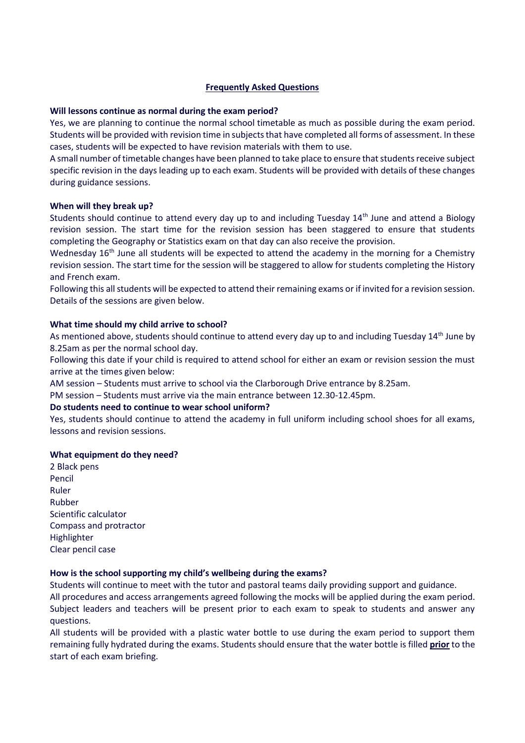## **Frequently Asked Questions**

### **Will lessons continue as normal during the exam period?**

Yes, we are planning to continue the normal school timetable as much as possible during the exam period. Students will be provided with revision time in subjects that have completed all forms of assessment. In these cases, students will be expected to have revision materials with them to use.

A small number of timetable changes have been planned to take place to ensure that students receive subject specific revision in the days leading up to each exam. Students will be provided with details of these changes during guidance sessions.

#### **When will they break up?**

Students should continue to attend every day up to and including Tuesday  $14<sup>th</sup>$  June and attend a Biology revision session. The start time for the revision session has been staggered to ensure that students completing the Geography or Statistics exam on that day can also receive the provision.

Wednesday  $16<sup>th</sup>$  June all students will be expected to attend the academy in the morning for a Chemistry revision session. The start time for the session will be staggered to allow for students completing the History and French exam.

Following this all students will be expected to attend their remaining exams or if invited for a revision session. Details of the sessions are given below.

#### **What time should my child arrive to school?**

As mentioned above, students should continue to attend every day up to and including Tuesday 14<sup>th</sup> June by 8.25am as per the normal school day.

Following this date if your child is required to attend school for either an exam or revision session the must arrive at the times given below:

AM session – Students must arrive to school via the Clarborough Drive entrance by 8.25am.

PM session – Students must arrive via the main entrance between 12.30-12.45pm.

#### **Do students need to continue to wear school uniform?**

Yes, students should continue to attend the academy in full uniform including school shoes for all exams, lessons and revision sessions.

#### **What equipment do they need?**

2 Black pens Pencil Ruler Rubber Scientific calculator Compass and protractor Highlighter Clear pencil case

#### **How is the school supporting my child's wellbeing during the exams?**

Students will continue to meet with the tutor and pastoral teams daily providing support and guidance. All procedures and access arrangements agreed following the mocks will be applied during the exam period. Subject leaders and teachers will be present prior to each exam to speak to students and answer any questions.

All students will be provided with a plastic water bottle to use during the exam period to support them remaining fully hydrated during the exams. Students should ensure that the water bottle is filled **prior** to the start of each exam briefing.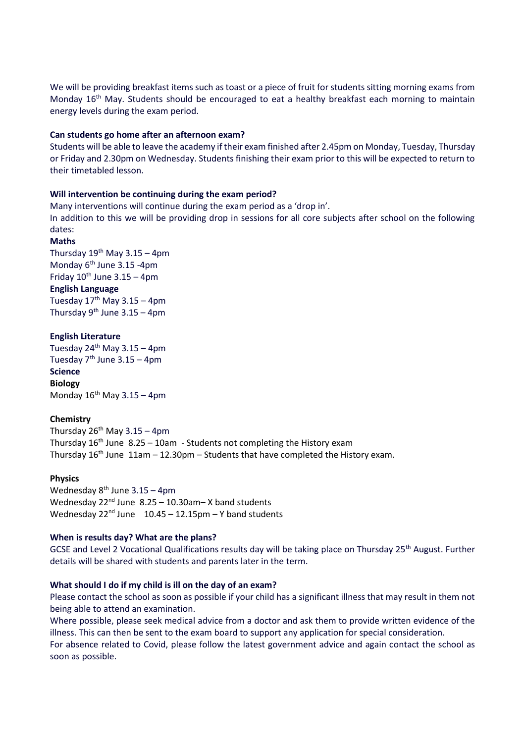We will be providing breakfast items such as toast or a piece of fruit for students sitting morning exams from Monday 16<sup>th</sup> May. Students should be encouraged to eat a healthy breakfast each morning to maintain energy levels during the exam period.

#### **Can students go home after an afternoon exam?**

Students will be able to leave the academy if their exam finished after 2.45pm on Monday, Tuesday, Thursday or Friday and 2.30pm on Wednesday. Students finishing their exam prior to this will be expected to return to their timetabled lesson.

#### **Will intervention be continuing during the exam period?**

Many interventions will continue during the exam period as a 'drop in'.

In addition to this we will be providing drop in sessions for all core subjects after school on the following dates:

#### **Maths**

Thursday  $19^{th}$  May 3.15 – 4pm Monday  $6<sup>th</sup>$  June 3.15 -4pm Friday  $10^{th}$  June 3.15 – 4pm **English Language** Tuesday  $17<sup>th</sup>$  May 3.15 – 4pm Thursday  $9^{th}$  June 3.15 – 4pm

#### **English Literature**

Tuesday  $24^{th}$  May  $3.15 - 4$ pm Tuesday  $7<sup>th</sup>$  June 3.15 – 4pm **Science** 

**Biology** Monday  $16^{th}$  May 3.15 – 4pm

#### **Chemistry**

Thursday  $26^{th}$  May 3.15 – 4pm Thursday  $16<sup>th</sup>$  June  $8.25 - 10$ am - Students not completing the History exam Thursday  $16^{th}$  June  $11$ am –  $12.30$ pm – Students that have completed the History exam.

#### **Physics**

Wednesday  $8<sup>th</sup>$  June 3.15 – 4pm Wednesday  $22^{nd}$  June  $8.25 - 10.30$ am - X band students Wednesday  $22^{nd}$  June  $10.45 - 12.15$ pm – Y band students

#### **When is results day? What are the plans?**

GCSE and Level 2 Vocational Qualifications results day will be taking place on Thursday 25th August. Further details will be shared with students and parents later in the term.

#### **What should I do if my child is ill on the day of an exam?**

Please contact the school as soon as possible if your child has a significant illness that may result in them not being able to attend an examination.

Where possible, please seek medical advice from a doctor and ask them to provide written evidence of the illness. This can then be sent to the exam board to support any application for special consideration. For absence related to Covid, please follow the latest government advice and again contact the school as soon as possible.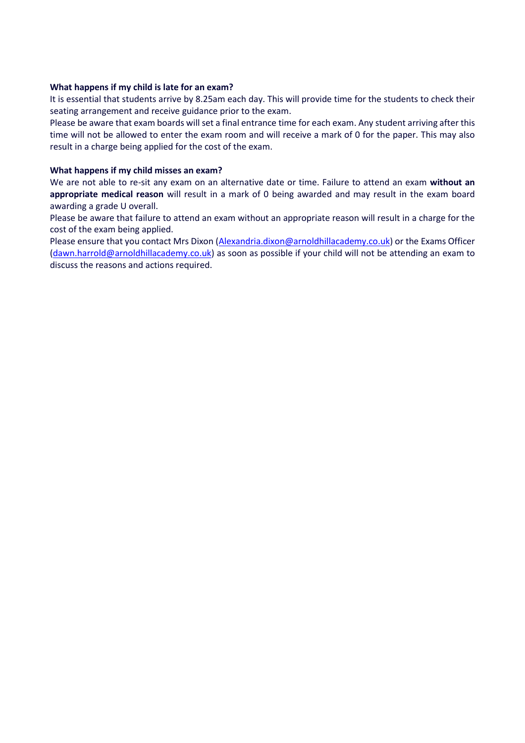### **What happens if my child is late for an exam?**

It is essential that students arrive by 8.25am each day. This will provide time for the students to check their seating arrangement and receive guidance prior to the exam.

Please be aware that exam boards will set a final entrance time for each exam. Any student arriving after this time will not be allowed to enter the exam room and will receive a mark of 0 for the paper. This may also result in a charge being applied for the cost of the exam.

#### **What happens if my child misses an exam?**

We are not able to re-sit any exam on an alternative date or time. Failure to attend an exam **without an appropriate medical reason** will result in a mark of 0 being awarded and may result in the exam board awarding a grade U overall.

Please be aware that failure to attend an exam without an appropriate reason will result in a charge for the cost of the exam being applied.

Please ensure that you contact Mrs Dixon [\(Alexandria.dixon@arnoldhillacademy.co.uk\)](mailto:Alexandria.dixon@arnoldhillacademy.co.uk) or the Exams Officer [\(dawn.harrold@arnoldhillacademy.co.uk\)](mailto:dawn.harrold@arnoldhillacademy.co.uk) as soon as possible if your child will not be attending an exam to discuss the reasons and actions required.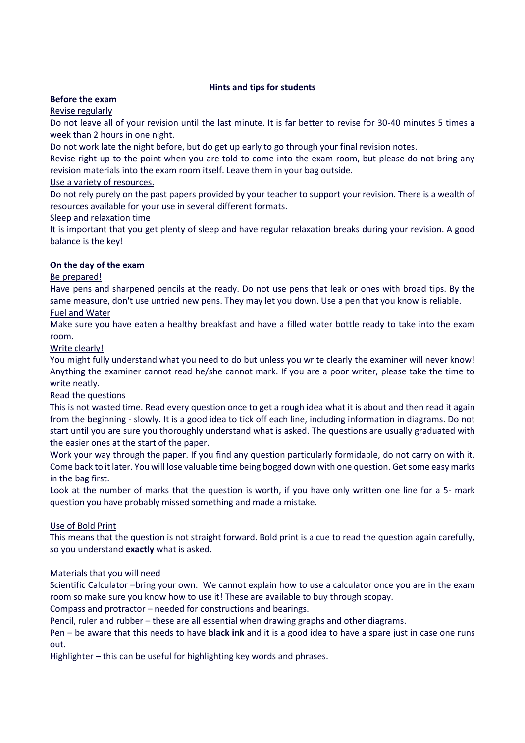## **Hints and tips for students**

# **Before the exam**

### Revise regularly

Do not leave all of your revision until the last minute. It is far better to revise for 30-40 minutes 5 times a week than 2 hours in one night.

Do not work late the night before, but do get up early to go through your final revision notes.

Revise right up to the point when you are told to come into the exam room, but please do not bring any revision materials into the exam room itself. Leave them in your bag outside.

## Use a variety of resources.

Do not rely purely on the past papers provided by your teacher to support your revision. There is a wealth of resources available for your use in several different formats.

## Sleep and relaxation time

It is important that you get plenty of sleep and have regular relaxation breaks during your revision. A good balance is the key!

## **On the day of the exam**

## Be prepared!

Have pens and sharpened pencils at the ready. Do not use pens that leak or ones with broad tips. By the same measure, don't use untried new pens. They may let you down. Use a pen that you know is reliable. Fuel and Water

Make sure you have eaten a healthy breakfast and have a filled water bottle ready to take into the exam room.

## Write clearly!

You might fully understand what you need to do but unless you write clearly the examiner will never know! Anything the examiner cannot read he/she cannot mark. If you are a poor writer, please take the time to write neatly.

## Read the questions

This is not wasted time. Read every question once to get a rough idea what it is about and then read it again from the beginning - slowly. It is a good idea to tick off each line, including information in diagrams. Do not start until you are sure you thoroughly understand what is asked. The questions are usually graduated with the easier ones at the start of the paper.

Work your way through the paper. If you find any question particularly formidable, do not carry on with it. Come back to it later. You will lose valuable time being bogged down with one question. Get some easy marks in the bag first.

Look at the number of marks that the question is worth, if you have only written one line for a 5- mark question you have probably missed something and made a mistake.

## Use of Bold Print

This means that the question is not straight forward. Bold print is a cue to read the question again carefully, so you understand **exactly** what is asked.

## Materials that you will need

Scientific Calculator –bring your own. We cannot explain how to use a calculator once you are in the exam room so make sure you know how to use it! These are available to buy through scopay.

Compass and protractor – needed for constructions and bearings.

Pencil, ruler and rubber – these are all essential when drawing graphs and other diagrams.

Pen – be aware that this needs to have **black ink** and it is a good idea to have a spare just in case one runs out.

Highlighter – this can be useful for highlighting key words and phrases.